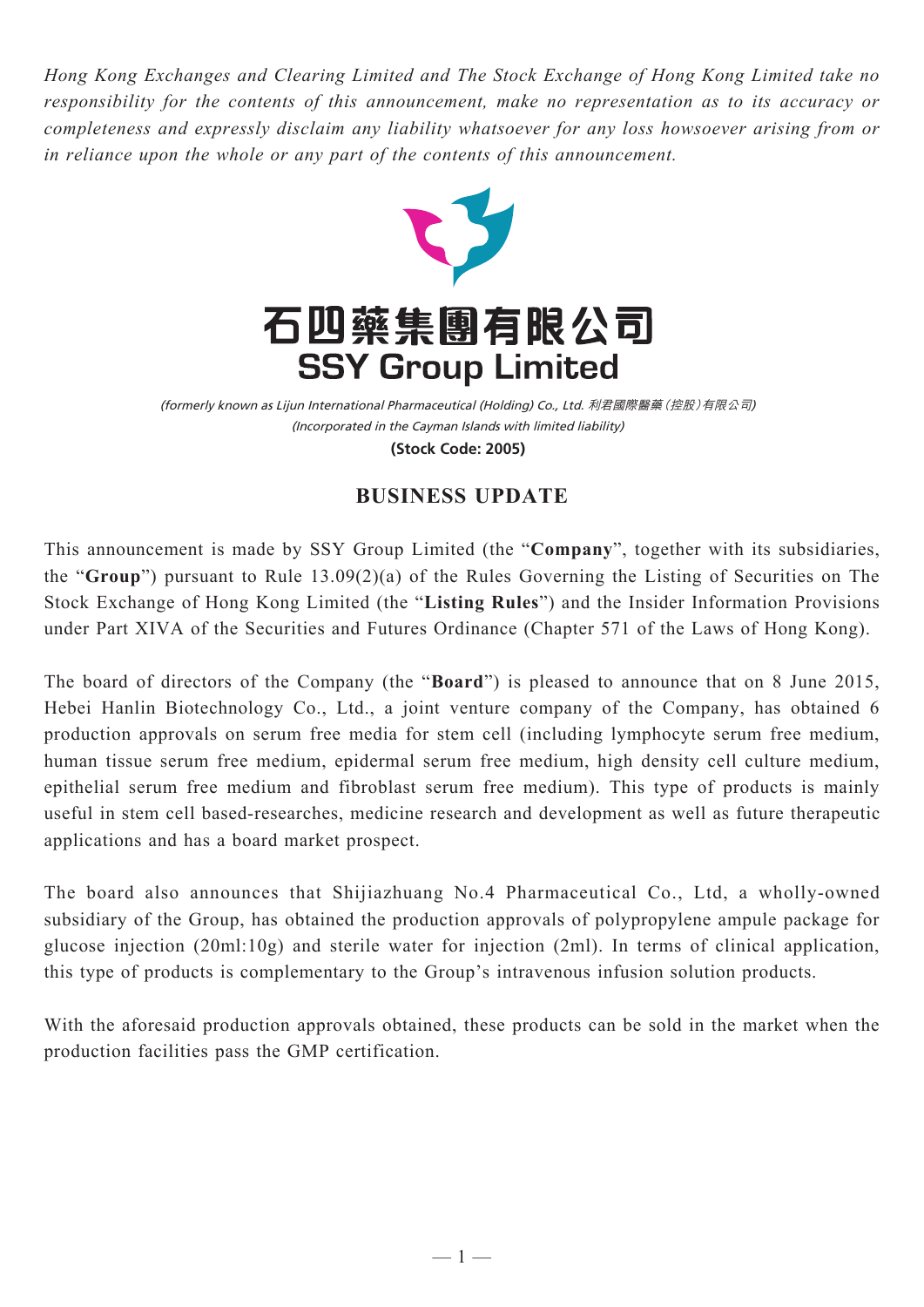*Hong Kong Exchanges and Clearing Limited and The Stock Exchange of Hong Kong Limited take no responsibility for the contents of this announcement, make no representation as to its accuracy or completeness and expressly disclaim any liability whatsoever for any loss howsoever arising from or in reliance upon the whole or any part of the contents of this announcement.*



(Incorporated in the Cayman Islands with limited liability) (formerly known as Lijun International Pharmaceutical (Holding) Co., Ltd. 利君國際醫藥(控股)有限公司) **(Stock Code: 2005)**

## **BUSINESS UPDATE**

This announcement is made by SSY Group Limited (the "**Company**", together with its subsidiaries, the "**Group**") pursuant to Rule 13.09(2)(a) of the Rules Governing the Listing of Securities on The Stock Exchange of Hong Kong Limited (the "**Listing Rules**") and the Insider Information Provisions under Part XIVA of the Securities and Futures Ordinance (Chapter 571 of the Laws of Hong Kong).

The board of directors of the Company (the "**Board**") is pleased to announce that on 8 June 2015, Hebei Hanlin Biotechnology Co., Ltd., a joint venture company of the Company, has obtained 6 production approvals on serum free media for stem cell (including lymphocyte serum free medium, human tissue serum free medium, epidermal serum free medium, high density cell culture medium, epithelial serum free medium and fibroblast serum free medium). This type of products is mainly useful in stem cell based-researches, medicine research and development as well as future therapeutic applications and has a board market prospect.

The board also announces that Shijiazhuang No.4 Pharmaceutical Co., Ltd, a wholly-owned subsidiary of the Group, has obtained the production approvals of polypropylene ampule package for glucose injection (20ml:10g) and sterile water for injection (2ml). In terms of clinical application, this type of products is complementary to the Group's intravenous infusion solution products.

With the aforesaid production approvals obtained, these products can be sold in the market when the production facilities pass the GMP certification.